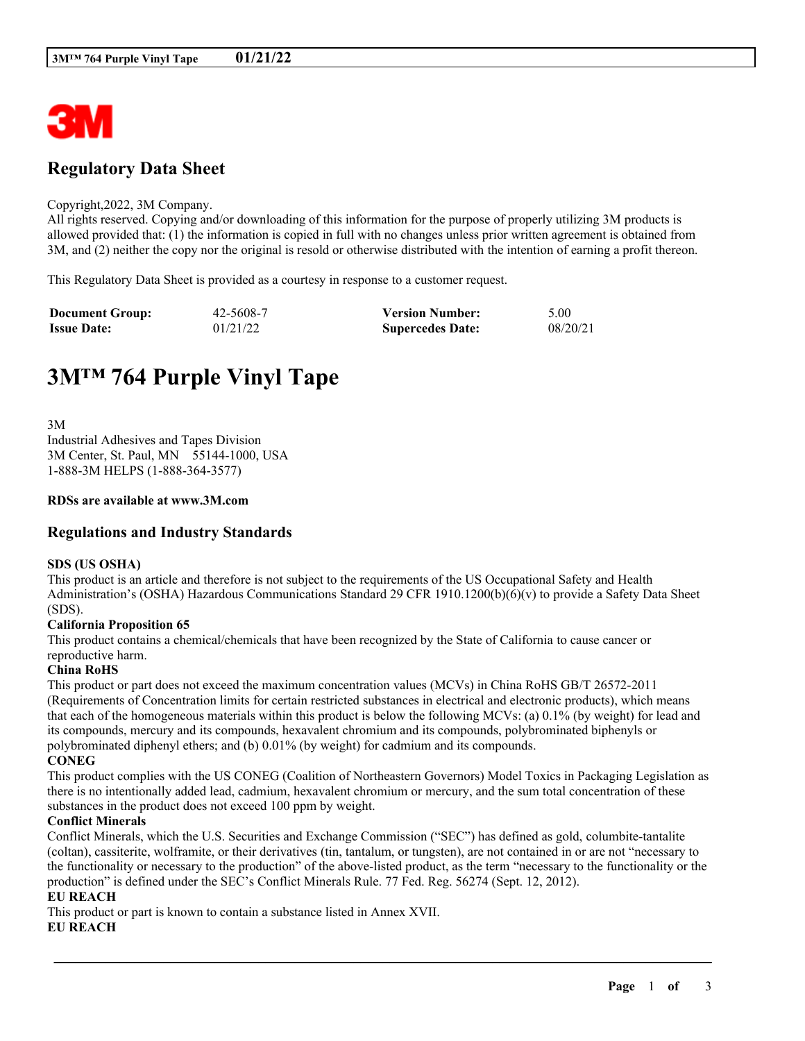

## **Regulatory Data Sheet**

#### Copyright,2022, 3M Company.

All rights reserved. Copying and/or downloading of this information for the purpose of properly utilizing 3M products is allowed provided that: (1) the information is copied in full with no changes unless prior written agreement is obtained from 3M, and (2) neither the copy nor the original is resold or otherwise distributed with the intention of earning a profit thereon.

This Regulatory Data Sheet is provided as a courtesy in response to a customer request.

| <b>Document Group:</b> | 42-5608-7 | <b>Version Number:</b>  | 5.00     |
|------------------------|-----------|-------------------------|----------|
| <b>Issue Date:</b>     | 01/21/22  | <b>Supercedes Date:</b> | 08/20/21 |

# **3M™ 764 Purple Vinyl Tape**

3M Industrial Adhesives and Tapes Division 3M Center, St. Paul, MN 55144-1000, USA 1-888-3M HELPS (1-888-364-3577)

#### **RDSs are available at www.3M.com**

## **Regulations and Industry Standards**

#### **SDS (US OSHA)**

This product is an article and therefore is not subject to the requirements of the US Occupational Safety and Health Administration's (OSHA) Hazardous Communications Standard 29 CFR 1910.1200(b)(6)(v) to provide a Safety Data Sheet (SDS).

#### **California Proposition 65**

This product contains a chemical/chemicals that have been recognized by the State of California to cause cancer or reproductive harm.

#### **China RoHS**

This product or part does not exceed the maximum concentration values (MCVs) in China RoHS GB/T 26572-2011 (Requirements of Concentration limits for certain restricted substances in electrical and electronic products), which means that each of the homogeneous materials within this product is below the following MCVs: (a) 0.1% (by weight) for lead and its compounds, mercury and its compounds, hexavalent chromium and its compounds, polybrominated biphenyls or polybrominated diphenyl ethers; and (b) 0.01% (by weight) for cadmium and its compounds. **CONEG**

This product complies with the US CONEG (Coalition of Northeastern Governors) Model Toxics in Packaging Legislation as there is no intentionally added lead, cadmium, hexavalent chromium or mercury, and the sum total concentration of these substances in the product does not exceed 100 ppm by weight.

#### **Conflict Minerals**

Conflict Minerals, which the U.S. Securities and Exchange Commission ("SEC") has defined as gold, columbite-tantalite (coltan), cassiterite, wolframite, or their derivatives (tin, tantalum, or tungsten), are not contained in or are not "necessary to the functionality or necessary to the production" of the above-listed product, as the term "necessary to the functionality or the production" is defined under the SEC's Conflict Minerals Rule. 77 Fed. Reg. 56274 (Sept. 12, 2012).

\_\_\_\_\_\_\_\_\_\_\_\_\_\_\_\_\_\_\_\_\_\_\_\_\_\_\_\_\_\_\_\_\_\_\_\_\_\_\_\_\_\_\_\_\_\_\_\_\_\_\_\_\_\_\_\_\_\_\_\_\_\_\_\_\_\_\_\_\_\_\_\_\_\_\_\_\_\_\_\_\_\_\_\_\_\_\_\_\_\_

### **EU REACH**

This product or part is known to contain a substance listed in Annex XVII.

#### **EU REACH**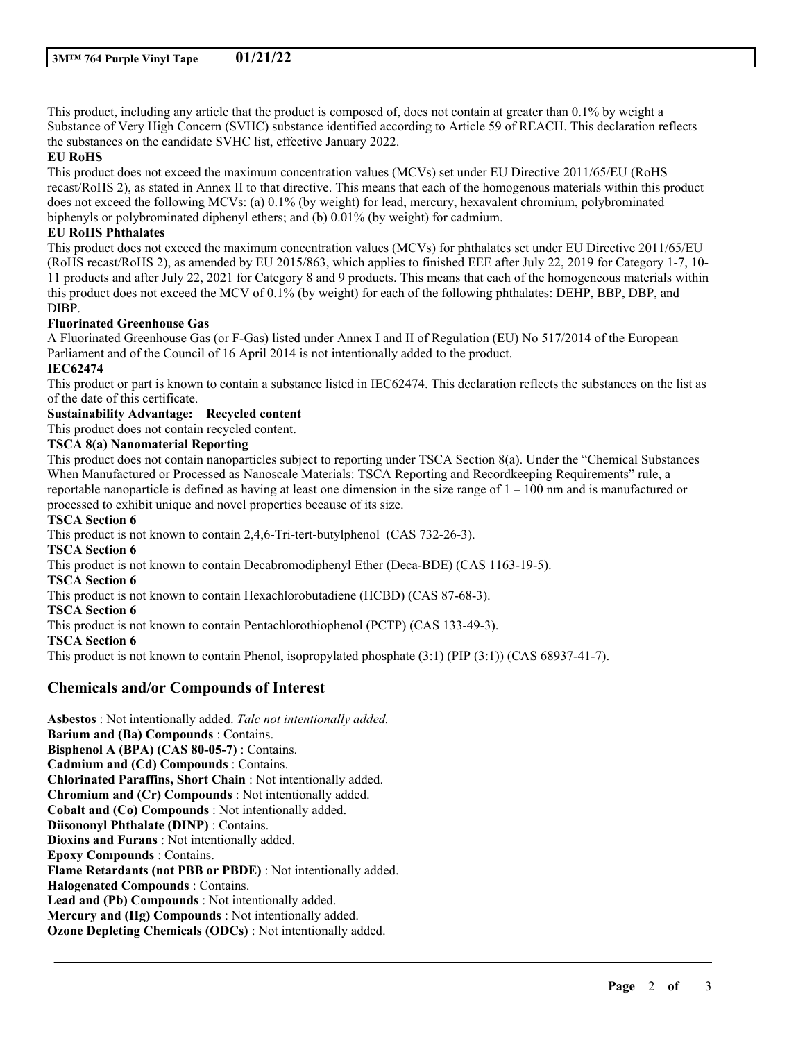This product, including any article that the product is composed of, does not contain at greater than 0.1% by weight a Substance of Very High Concern (SVHC) substance identified according to Article 59 of REACH. This declaration reflects the substances on the candidate SVHC list, effective January 2022.

#### **EU RoHS**

This product does not exceed the maximum concentration values (MCVs) set under EU Directive 2011/65/EU (RoHS recast/RoHS 2), as stated in Annex II to that directive. This means that each of the homogenous materials within this product does not exceed the following MCVs: (a) 0.1% (by weight) for lead, mercury, hexavalent chromium, polybrominated biphenyls or polybrominated diphenyl ethers; and (b) 0.01% (by weight) for cadmium.

#### **EU RoHS Phthalates**

This product does not exceed the maximum concentration values (MCVs) for phthalates set under EU Directive 2011/65/EU (RoHS recast/RoHS 2), as amended by EU 2015/863, which applies to finished EEE after July 22, 2019 for Category 1-7, 10- 11 products and after July 22, 2021 for Category 8 and 9 products. This means that each of the homogeneous materials within this product does not exceed the MCV of 0.1% (by weight) for each of the following phthalates: DEHP, BBP, DBP, and DIBP.

#### **Fluorinated Greenhouse Gas**

A Fluorinated Greenhouse Gas (or F-Gas) listed under Annex I and II of Regulation (EU) No 517/2014 of the European Parliament and of the Council of 16 April 2014 is not intentionally added to the product.

## **IEC62474**

This product or part is known to contain a substance listed in IEC62474. This declaration reflects the substances on the list as of the date of this certificate.

## **Sustainability Advantage: Recycled content**

This product does not contain recycled content.

#### **TSCA 8(a) Nanomaterial Reporting**

This product does not contain nanoparticles subject to reporting under TSCA Section 8(a). Under the "Chemical Substances When Manufactured or Processed as Nanoscale Materials: TSCA Reporting and Recordkeeping Requirements" rule, a reportable nanoparticle is defined as having at least one dimension in the size range of  $1 - 100$  nm and is manufactured or processed to exhibit unique and novel properties because of its size.

\_\_\_\_\_\_\_\_\_\_\_\_\_\_\_\_\_\_\_\_\_\_\_\_\_\_\_\_\_\_\_\_\_\_\_\_\_\_\_\_\_\_\_\_\_\_\_\_\_\_\_\_\_\_\_\_\_\_\_\_\_\_\_\_\_\_\_\_\_\_\_\_\_\_\_\_\_\_\_\_\_\_\_\_\_\_\_\_\_\_

#### **TSCA Section 6**

This product is not known to contain 2,4,6-Tri-tert-butylphenol (CAS 732-26-3). **TSCA Section 6** This product is not known to contain Decabromodiphenyl Ether (Deca-BDE) (CAS 1163-19-5). **TSCA Section 6** This product is not known to contain Hexachlorobutadiene (HCBD) (CAS 87-68-3). **TSCA Section 6** This product is not known to contain Pentachlorothiophenol (PCTP) (CAS 133-49-3). **TSCA Section 6** This product is not known to contain Phenol, isopropylated phosphate (3:1) (PIP (3:1)) (CAS 68937-41-7).

## **Chemicals and/or Compounds of Interest**

**Asbestos** : Not intentionally added. *Talc not intentionally added.* **Barium and (Ba) Compounds** : Contains. **Bisphenol A (BPA) (CAS 80-05-7)** : Contains. **Cadmium and (Cd) Compounds** : Contains. **Chlorinated Paraffins, Short Chain** : Not intentionally added. **Chromium and (Cr) Compounds** : Not intentionally added. **Cobalt and (Co) Compounds** : Not intentionally added. **Diisononyl Phthalate (DINP)** : Contains. **Dioxins and Furans** : Not intentionally added. **Epoxy Compounds** : Contains. **Flame Retardants (not PBB or PBDE)** : Not intentionally added. **Halogenated Compounds** : Contains. **Lead and (Pb) Compounds** : Not intentionally added. **Mercury and (Hg) Compounds** : Not intentionally added. **Ozone Depleting Chemicals (ODCs)** : Not intentionally added.